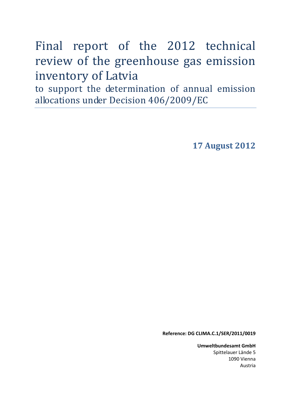Final report of the 2012 technical review of the greenhouse gas emission inventory of Latvia

to support the determination of annual emission allocations under Decision 406/2009/EC

**17 August 2012** 

**Reference: DG CLIMA.C.1/SER/2011/0019** 

**Umweltbundesamt GmbH** Spittelauer Lände 5 1090 Vienna Austria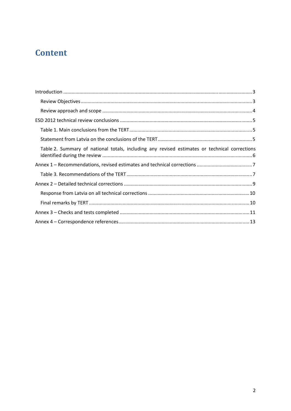# **Content**

| Table 2. Summary of national totals, including any revised estimates or technical corrections |
|-----------------------------------------------------------------------------------------------|
|                                                                                               |
|                                                                                               |
|                                                                                               |
|                                                                                               |
|                                                                                               |
|                                                                                               |
|                                                                                               |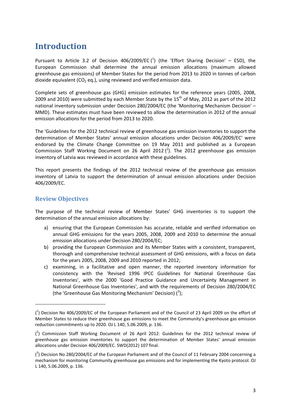## <span id="page-2-0"></span>**Introduction**

Pursuant to Article 3.2 of Decision 406/2009/EC  $(^1)$  (the 'Effort Sharing Decision' – ESD), the European Commission shall determine the annual emission allocations (maximum allowed greenhouse gas emissions) of Member States for the period from 2013 to 2020 in tonnes of carbon dioxide equivalent ( $CO<sub>2</sub>$  eq.), using reviewed and verified emission data.

Complete sets of greenhouse gas (GHG) emission estimates for the reference years (2005, 2008, 2009 and 2010) were submitted by each Member State by the  $15<sup>th</sup>$  of May, 2012 as part of the 2012 national inventory submission under Decision 280/2004/EC (the 'Monitoring Mechanism Decision' – MMD). These estimates must have been reviewed to allow the determination in 2012 of the annual emission allocations for the period from 2013 to 2020.

The 'Guidelines for the 2012 technical review of greenhouse gas emission inventories to support the determination of Member States' annual emission allocations under Decision 406/2009/EC' were endorsed by the Climate Change Committee on 19 May 2011 and published as a European Commission Staff Working Document on 26 April 2012  $(^2)$ . The 2012 greenhouse gas emission inventory of Latvia was reviewed in accordance with these guidelines.

This report presents the findings of the 2012 technical review of the greenhouse gas emission inventory of Latvia to support the determination of annual emission allocations under Decision 406/2009/EC.

#### <span id="page-2-1"></span>**Review Objectives**

1

The purpose of the technical review of Member States' GHG inventories is to support the determination of the annual emission allocations by:

- a) ensuring that the European Commission has accurate, reliable and verified information on annual GHG emissions for the years 2005, 2008, 2009 and 2010 to determine the annual emission allocations under Decision 280/2004/EC;
- b) providing the European Commission and its Member States with a consistent, transparent, thorough and comprehensive technical assessment of GHG emissions, with a focus on data for the years 2005, 2008, 2009 and 2010 reported in 2012;
- c) examining, in a facilitative and open manner, the reported inventory information for consistency with the 'Revised 1996 IPCC Guidelines for National Greenhouse Gas Inventories', with the 2000 'Good Practice Guidance and Uncertainty Management in National Greenhouse Gas Inventories', and with the requirements of Decision 280/2004/EC (the 'Greenhouse Gas Monitoring Mechanism' Decision)  $(^3)$ ;

<sup>(</sup> 1 ) [Decision No 406/2009/EC of the European Parliament and of the Council of 23 April 2009 on the effort of](http://eur-lex.europa.eu/LexUriServ/LexUriServ.do?uri=OJ:L:2009:140:0136:0148:EN:PDF)  [Member States to reduce their greenhouse gas emissions to meet the Community's greenhouse gas emission](http://eur-lex.europa.eu/LexUriServ/LexUriServ.do?uri=OJ:L:2009:140:0136:0148:EN:PDF)  [reduction commitments up to 2020.](http://eur-lex.europa.eu/LexUriServ/LexUriServ.do?uri=OJ:L:2009:140:0136:0148:EN:PDF) OJ L 140, 5.06.2009, p. 136.

 $(^2)$  Commission Staff Working Document of 26 April 2012: Guidelines for the 2012 technical review of [greenhouse gas emission inventories to support the determination of Member States' annual emission](http://ec.europa.eu/clima/policies/effort/docs/swd_2012_107_en.pdf)  [allocations under Decision 406/2009/EC.](http://ec.europa.eu/clima/policies/effort/docs/swd_2012_107_en.pdf) SWD(2012) 107 final.

 $\binom{3}{1}$  Decision No 280/2004/EC of the European Parliament and of the Council of 11 February 2004 concerning a [mechanism for monitoring Community greenhouse gas emissions and for implementing the Kyoto protocol.](http://eur-lex.europa.eu/LexUriServ/LexUriServ.do?uri=OJ:L:2004:049:0001:0001:EN:PDF) OJ L 140, 5.06.2009, p. 136.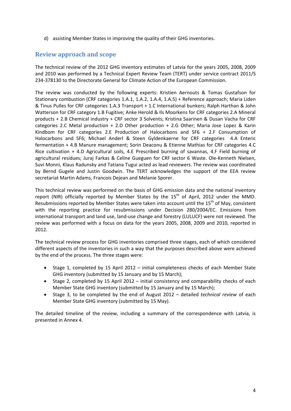d) assisting Member States in improving the quality of their GHG inventories.

#### <span id="page-3-0"></span>**Review approach and scope**

The technical review of the 2012 GHG inventory estimates of Latvia for the years 2005, 2008, 2009 and 2010 was performed by a Technical Expert Review Team (TERT) under service contract 2011/S 234-378130 to the Directorate General for Climate Action of the European Commission.

The review was conducted by the following experts: Kristien Aernouts & Tomas Gustafson for Stationary combustion (CRF categories 1.A.1, 1.A.2, 1.A.4, 1.A.5) + Reference approach; Maria Liden & Tinus Pulles for CRF categories 1.A.3 Transport + 1.C International bunkers; Ralph Harthan & John Watterson for CRF category 1.B Fugitive; Anke Herold & Ils Moorkens for CRF categories 2.A Mineral products + 2.B Chemical industry + CRF sector 3 Solvents; Kristina Saarinen & Dusan Vacha for CRF categories 2.C Metal production + 2.D Other production + 2.G Other; Maria Jose Lopez & Karin Kindbom for CRF categories 2.E Production of Halocarbons and SF6 + 2.F Consumption of Halocarbons and SF6; Michael Anderl & Steen Gyldenkaerne for CRF categories 4.A Enteric fermentation + 4.B Manure management; Sorin Deaconu & Etienne Mathias for CRF categories 4.C Rice cultivation + 4.D Agricultural soils, 4.E Prescribed burning of savannas, 4.F Field burning of agricultural residues; Juraj Farkas & Celine Gueguen for CRF sector 6 Waste. Ole-Kenneth Nielsen, Suvi Monni, Klaus Radunsky and Tatiana Tugui acted as lead reviewers. The review was coordinated by Bernd Gugele and Justin Goodwin. The TERT acknowledges the support of the EEA review secretariat Martin Adams, Francois Dejean and Melanie Sporer.

This technical review was performed on the basis of GHG emission data and the national inventory report (NIR) officially reported by Member States by the  $15<sup>th</sup>$  of April, 2012 under the MMD. Resubmissions reported by Member States were taken into account until the  $15<sup>th</sup>$  of May, consistent with the reporting practice for resubmissions under Decision 280/2004/EC. Emissions from international transport and land use, land-use change and forestry (LULUCF) were not reviewed. The review was performed with a focus on data for the years 2005, 2008, 2009 and 2010, reported in 2012.

The technical review process for GHG inventories comprised three stages, each of which considered different aspects of the inventories in such a way that the purposes described above were achieved by the end of the process. The three stages were:

- Stage 1, completed by 15 April 2012 initial completeness checks of each Member State GHG inventory (submitted by 15 January and by 15 March);
- Stage 2, completed by 15 April 2012 initial consistency and comparability checks of each Member State GHG inventory (submitted by 15 January and by 15 March);
- Stage 3, to be completed by the end of August 2012 detailed *technical review* of each Member State GHG inventory (submitted by 15 May).

The detailed timeline of the review, including a summary of the correspondence with Latvia, is presented in Annex 4.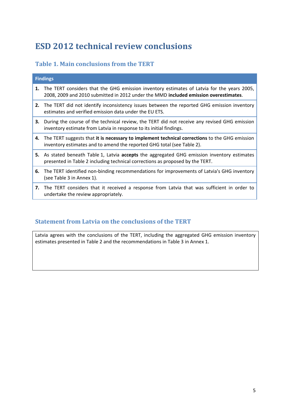# <span id="page-4-0"></span>**ESD 2012 technical review conclusions**

#### <span id="page-4-1"></span>**Table 1. Main conclusions from the TERT**

| <b>Findings</b> |                                                                                                                                                                                    |  |  |  |
|-----------------|------------------------------------------------------------------------------------------------------------------------------------------------------------------------------------|--|--|--|
| 1.              | The TERT considers that the GHG emission inventory estimates of Latvia for the years 2005,<br>2008, 2009 and 2010 submitted in 2012 under the MMD included emission overestimates. |  |  |  |
|                 | 2. The TERT did not identify inconsistency issues between the reported GHG emission inventory<br>estimates and verified emission data under the EU ETS.                            |  |  |  |
|                 | <b>3.</b> During the course of the technical review, the TERT did not receive any revised GHG emission<br>inventory estimate from Latvia in response to its initial findings.      |  |  |  |
|                 | 4. The TERT suggests that it is necessary to implement technical corrections to the GHG emission<br>inventory estimates and to amend the reported GHG total (see Table 2).         |  |  |  |
|                 | 5. As stated beneath Table 1, Latvia accepts the aggregated GHG emission inventory estimates<br>presented in Table 2 including technical corrections as proposed by the TERT.      |  |  |  |
| 6.              | The TERT identified non-binding recommendations for improvements of Latvia's GHG inventory<br>(see Table 3 in Annex 1).                                                            |  |  |  |
|                 | 7. The TERT considers that it received a response from Latvia that was sufficient in order to<br>undertake the review appropriately.                                               |  |  |  |

### <span id="page-4-2"></span>**Statement from Latvia on the conclusions of the TERT**

Latvia agrees with the conclusions of the TERT, including the aggregated GHG emission inventory estimates presented in Table 2 and the recommendations in Table 3 in Annex 1.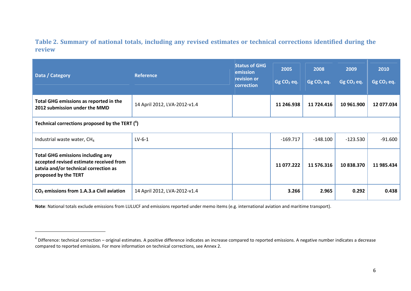**Table 2. Summary of national totals, including any revised estimates or technical corrections identified during the review** 

| Data / Category                                                                                                                                      | <b>Reference</b>             | <b>Status of GHG</b><br>emission<br>revision or<br>correction | 2005<br>Gg CO <sub>2</sub> eq. | 2008<br>$GgCO2$ eq. | 2009<br>$GgCO2$ eq. | 2010<br>Gg CO <sub>2</sub> eq. |
|------------------------------------------------------------------------------------------------------------------------------------------------------|------------------------------|---------------------------------------------------------------|--------------------------------|---------------------|---------------------|--------------------------------|
| Total GHG emissions as reported in the<br>2012 submission under the MMD                                                                              | 14 April 2012, LVA-2012-v1.4 |                                                               | 11 246.938                     | 11 724.416          | 10 961.900          | 12 077.034                     |
| Technical corrections proposed by the TERT $(4)$                                                                                                     |                              |                                                               |                                |                     |                     |                                |
| Industrial waste water, CH <sub>4</sub>                                                                                                              | $LV-6-1$                     |                                                               | $-169.717$                     | $-148.100$          | $-123.530$          | $-91.600$                      |
| <b>Total GHG emissions including any</b><br>accepted revised estimate received from<br>Latvia and/or technical correction as<br>proposed by the TERT |                              |                                                               | 11 077.222                     | 11 576.316          | 10 838.370          | 11 985.434                     |
| $CO2$ emissions from 1.A.3.a Civil aviation                                                                                                          | 14 April 2012, LVA-2012-v1.4 |                                                               | 3.266                          | 2.965               | 0.292               | 0.438                          |

**Note**: National totals exclude emissions from LULUCF and emissions reported under memo items (e.g. international aviation and maritime transport).

<span id="page-5-0"></span> $4$  Difference: technical correction – original estimates. A positive difference indicates an increase compared to reported emissions. A negative number indicates a decrease compared to reported emissions. For more information on technical corrections, see Annex 2.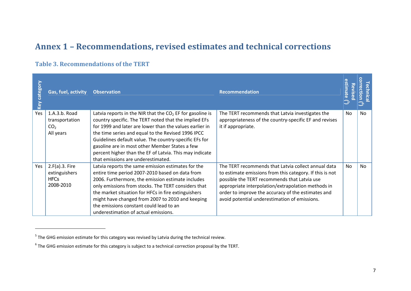### **Annex 1 – Recommendations, revised estimates and technical corrections**

#### **Table 3. Recommendations of the TERT**

| category<br>Key | Gas, fuel, activity                                             | <b>Observation</b>                                                                                                                                                                                                                                                                                                                                                                                                                                 | <b>Recommendation</b>                                                                                                                                                                                                                                                                                                        | timate<br>る<br>vise | 요.<br>$\circ$  |
|-----------------|-----------------------------------------------------------------|----------------------------------------------------------------------------------------------------------------------------------------------------------------------------------------------------------------------------------------------------------------------------------------------------------------------------------------------------------------------------------------------------------------------------------------------------|------------------------------------------------------------------------------------------------------------------------------------------------------------------------------------------------------------------------------------------------------------------------------------------------------------------------------|---------------------|----------------|
| Yes             | 1.A.3.b. Road<br>transportation<br>CO <sub>2</sub><br>All years | Latvia reports in the NIR that the $CO2$ EF for gasoline is<br>country specific. The TERT noted that the implied EFs<br>for 1999 and later are lower than the values earlier in<br>the time series and equal to the Revised 1996 IPCC<br>Guidelines default value. The country-specific EFs for<br>gasoline are in most other Member States a few<br>percent higher than the EF of Latvia. This may indicate<br>that emissions are underestimated. | The TERT recommends that Latvia investigates the<br>appropriateness of the country-specific EF and revises<br>it if appropriate.                                                                                                                                                                                             | No.                 | N <sub>0</sub> |
| Yes             | $2.F(a).3.$ Fire<br>extinguishers<br><b>HFCs</b><br>2008-2010   | Latvia reports the same emission estimates for the<br>entire time period 2007-2010 based on data from<br>2006. Furthermore, the emission estimate includes<br>only emissions from stocks. The TERT considers that<br>the market situation for HFCs in fire extinguishers<br>might have changed from 2007 to 2010 and keeping<br>the emissions constant could lead to an<br>underestimation of actual emissions.                                    | The TERT recommends that Latvia collect annual data<br>to estimate emissions from this category. If this is not<br>possible the TERT recommends that Latvia use<br>appropriate interpolation/extrapolation methods in<br>order to improve the accuracy of the estimates and<br>avoid potential underestimation of emissions. | <b>No</b>           | <b>No</b>      |

 $<sup>5</sup>$  The GHG emission estimate for this category was revised by Latvia during the technical review.</sup>

<span id="page-6-1"></span><span id="page-6-0"></span> $6$  The GHG emission estimate for this category is subject to a technical correction proposal by the TERT.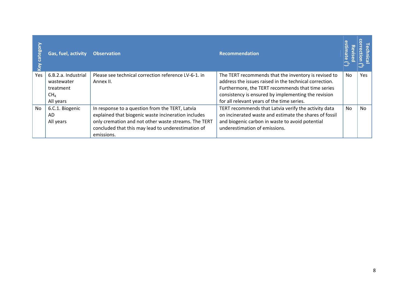| $\circ$<br>bo<br>cate; | Gas, fuel, activity                                                            | <b>Observation</b>                                                                                                                                                                                                                 | Recommendation                                                                                                                                                                                                                                                           |           |     |
|------------------------|--------------------------------------------------------------------------------|------------------------------------------------------------------------------------------------------------------------------------------------------------------------------------------------------------------------------------|--------------------------------------------------------------------------------------------------------------------------------------------------------------------------------------------------------------------------------------------------------------------------|-----------|-----|
| Yes                    | 6.B.2.a. Industrial<br>wastewater<br>treatment<br>CH <sub>4</sub><br>All years | Please see technical correction reference LV-6-1. in<br>Annex II.                                                                                                                                                                  | The TERT recommends that the inventory is revised to<br>address the issues raised in the technical correction.<br>Furthermore, the TERT recommends that time series<br>consistency is ensured by implementing the revision<br>for all relevant years of the time series. | No        | Yes |
| No                     | 6.C.1. Biogenic<br>AD.<br>All years                                            | In response to a question from the TERT, Latvia<br>explained that biogenic waste incineration includes<br>only cremation and not other waste streams. The TERT<br>concluded that this may lead to underestimation of<br>emissions. | TERT recommends that Latvia verify the activity data<br>on incinerated waste and estimate the shares of fossil<br>and biogenic carbon in waste to avoid potential<br>underestimation of emissions.                                                                       | <b>No</b> | No  |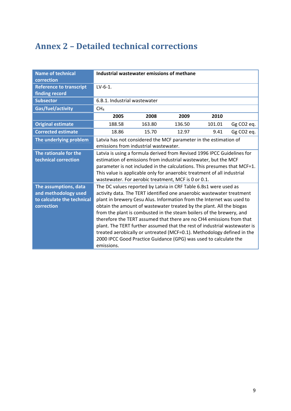## <span id="page-8-0"></span>**Annex 2 – Detailed technical corrections**

| <b>Name of technical</b><br>correction                                                    | Industrial wastewater emissions of methane                                                                                                                                                                                                                                                                                                                                                                                                                                                                                                                                                                                                                                          |        |        |        |                        |
|-------------------------------------------------------------------------------------------|-------------------------------------------------------------------------------------------------------------------------------------------------------------------------------------------------------------------------------------------------------------------------------------------------------------------------------------------------------------------------------------------------------------------------------------------------------------------------------------------------------------------------------------------------------------------------------------------------------------------------------------------------------------------------------------|--------|--------|--------|------------------------|
| <b>Reference to transcript</b><br>finding record                                          | $LV-6-1.$                                                                                                                                                                                                                                                                                                                                                                                                                                                                                                                                                                                                                                                                           |        |        |        |                        |
| <b>Subsector</b>                                                                          | 6.B.1. Industrial wastewater                                                                                                                                                                                                                                                                                                                                                                                                                                                                                                                                                                                                                                                        |        |        |        |                        |
| Gas/fuel/activity                                                                         | CH <sub>4</sub>                                                                                                                                                                                                                                                                                                                                                                                                                                                                                                                                                                                                                                                                     |        |        |        |                        |
|                                                                                           | 2005                                                                                                                                                                                                                                                                                                                                                                                                                                                                                                                                                                                                                                                                                | 2008   | 2009   | 2010   |                        |
| <b>Original estimate</b>                                                                  | 188.58                                                                                                                                                                                                                                                                                                                                                                                                                                                                                                                                                                                                                                                                              | 163.80 | 136.50 | 101.01 | Gg CO <sub>2</sub> eq. |
| <b>Corrected estimate</b>                                                                 | 18.86                                                                                                                                                                                                                                                                                                                                                                                                                                                                                                                                                                                                                                                                               | 15.70  | 12.97  | 9.41   | Gg CO2 eq.             |
| The underlying problem                                                                    | Latvia has not considered the MCF parameter in the estimation of<br>emissions from industrial wastewater.                                                                                                                                                                                                                                                                                                                                                                                                                                                                                                                                                                           |        |        |        |                        |
| The rationale for the<br>technical correction                                             | Latvia is using a formula derived from Revised 1996 IPCC Guidelines for<br>estimation of emissions from industrial wastewater, but the MCF<br>parameter is not included in the calculations. This presumes that MCF=1.<br>This value is applicable only for anaerobic treatment of all industrial<br>wastewater. For aerobic treatment, MCF is 0 or 0.1.                                                                                                                                                                                                                                                                                                                            |        |        |        |                        |
| The assumptions, data<br>and methodology used<br>to calculate the technical<br>correction | The DC values reported by Latvia in CRF Table 6.Bs1 were used as<br>activity data. The TERT identified one anaerobic wastewater treatment<br>plant in brewery Cesu Alus. Information from the Internet was used to<br>obtain the amount of wastewater treated by the plant. All the biogas<br>from the plant is combusted in the steam boilers of the brewery, and<br>therefore the TERT assumed that there are no CH4 emissions from that<br>plant. The TERT further assumed that the rest of industrial wastewater is<br>treated aerobically or untreated (MCF=0.1). Methodology defined in the<br>2000 IPCC Good Practice Guidance (GPG) was used to calculate the<br>emissions. |        |        |        |                        |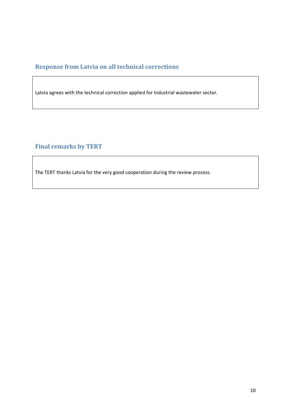### <span id="page-9-0"></span>**Response from Latvia on all technical corrections**

Latvia agrees with the technical correction applied for Industrial wastewater sector.

### <span id="page-9-1"></span>**Final remarks by TERT**

The TERT thanks Latvia for the very good cooperation during the review process.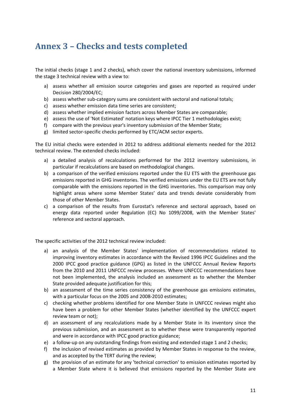### <span id="page-10-0"></span>**Annex 3 – Checks and tests completed**

The initial checks (stage 1 and 2 checks), which cover the national inventory submissions, informed the stage 3 technical review with a view to:

- a) assess whether all emission source categories and gases are reported as required under Decision 280/2004/EC;
- b) assess whether sub-category sums are consistent with sectoral and national totals;
- c) assess whether emission data time series are consistent;
- d) assess whether implied emission factors across Member States are comparable;
- e) assess the use of 'Not Estimated' notation keys where IPCC Tier 1 methodologies exist;
- f) compare with the previous year's inventory submission of the Member State;
- g) limited sector-specific checks performed by ETC/ACM sector experts.

The EU initial checks were extended in 2012 to address additional elements needed for the 2012 technical review. The extended checks included:

- a) a detailed analysis of recalculations performed for the 2012 inventory submissions, in particular if recalculations are based on methodological changes.
- b) a comparison of the verified emissions reported under the EU ETS with the greenhouse gas emissions reported in GHG inventories. The verified emissions under the EU ETS are not fully comparable with the emissions reported in the GHG inventories. This comparison may only highlight areas where some Member States' data and trends deviate considerably from those of other Member States.
- c) a comparison of the results from Eurostat's reference and sectoral approach, based on energy data reported under Regulation (EC) No 1099/2008, with the Member States' reference and sectoral approach.

The specific activities of the 2012 technical review included:

- a) an analysis of the Member States' implementation of recommendations related to improving inventory estimates in accordance with the Revised 1996 IPCC Guidelines and the 2000 IPCC good practice guidance (GPG) as listed in the UNFCCC Annual Review Reports from the 2010 and 2011 UNFCCC review processes. Where UNFCCC recommendations have not been implemented, the analysis included an assessment as to whether the Member State provided adequate justification for this;
- b) an assessment of the time series consistency of the greenhouse gas emissions estimates, with a particular focus on the 2005 and 2008-2010 estimates;
- c) checking whether problems identified for one Member State in UNFCCC reviews might also have been a problem for other Member States (whether identified by the UNFCCC expert review team or not);
- d) an assessment of any recalculations made by a Member State in its inventory since the previous submission, and an assessment as to whether these were transparently reported and were in accordance with IPCC good practice guidance;
- e) a follow-up on any outstanding findings from existing and extended stage 1 and 2 checks;
- f) the inclusion of revised estimates as provided by Member States in response to the review, and as accepted by the TERT during the review;
- g) the provision of an estimate for any 'technical correction' to emission estimates reported by a Member State where it is believed that emissions reported by the Member State are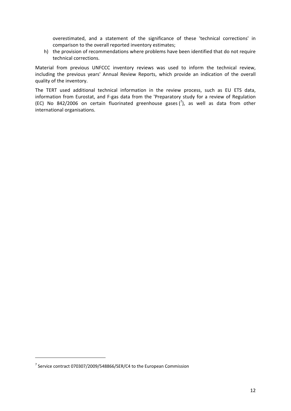overestimated, and a statement of the significance of these 'technical corrections' in comparison to the overall reported inventory estimates;

h) the provision of recommendations where problems have been identified that do not require technical corrections.

Material from previous UNFCCC inventory reviews was used to inform the technical review, including the previous years' Annual Review Reports, which provide an indication of the overall quality of the inventory.

The TERT used additional technical information in the review process, such as EU ETS data, information from Eurostat, and F-gas data from the 'Preparatory study for a review of Regulation (EC) No 842/2006 on certain fluorinated greenhouse gases  $\binom{7}{2}$ , as well as data from other international organisations.

**.** 

 $^7$  Service contract 070307/2009/548866/SER/C4 to the European Commission